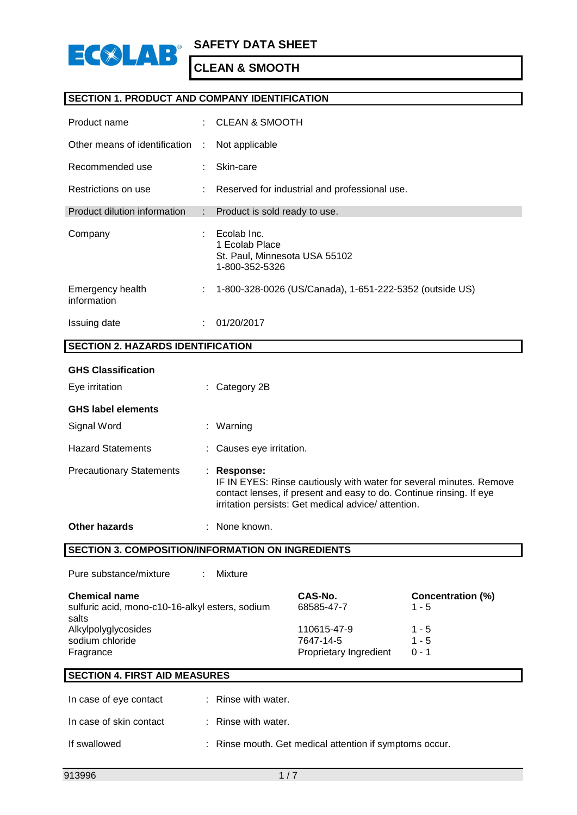

### **SECTION 1. PRODUCT AND COMPANY IDENTIFICATION**

| Product name                    |   | $\therefore$ CLEAN & SMOOTH                                                      |
|---------------------------------|---|----------------------------------------------------------------------------------|
| Other means of identification   | ÷ | Not applicable                                                                   |
| Recommended use                 | ÷ | Skin-care                                                                        |
| Restrictions on use             | ÷ | Reserved for industrial and professional use.                                    |
| Product dilution information    |   | : Product is sold ready to use.                                                  |
| Company                         |   | Ecolab Inc.<br>1 Ecolab Place<br>St. Paul, Minnesota USA 55102<br>1-800-352-5326 |
| Emergency health<br>information | ÷ | 1-800-328-0026 (US/Canada), 1-651-222-5352 (outside US)                          |
| Issuing date                    |   | 01/20/2017                                                                       |

## **SECTION 2. HAZARDS IDENTIFICATION**

| <b>GHS Classification</b>       |                                                                                                                                                                                                               |
|---------------------------------|---------------------------------------------------------------------------------------------------------------------------------------------------------------------------------------------------------------|
| Eye irritation                  | : Category 2B                                                                                                                                                                                                 |
| <b>GHS label elements</b>       |                                                                                                                                                                                                               |
| Signal Word                     | : Warning                                                                                                                                                                                                     |
| <b>Hazard Statements</b>        | : Causes eye irritation.                                                                                                                                                                                      |
| <b>Precautionary Statements</b> | Response:<br>IF IN EYES: Rinse cautiously with water for several minutes. Remove<br>contact lenses, if present and easy to do. Continue rinsing. If eye<br>irritation persists: Get medical advice/attention. |
| <b>Other hazards</b>            | None known.                                                                                                                                                                                                   |

**SECTION 3. COMPOSITION/INFORMATION ON INGREDIENTS**

| Pure substance/mixture<br>Mixture                                       |                          |                                     |
|-------------------------------------------------------------------------|--------------------------|-------------------------------------|
| <b>Chemical name</b><br>sulfuric acid, mono-c10-16-alkyl esters, sodium | CAS-No.<br>68585-47-7    | <b>Concentration (%)</b><br>$1 - 5$ |
| salts<br>Alkylpolyglycosides<br>sodium chloride                         | 110615-47-9<br>7647-14-5 | $1 - 5$<br>$1 - 5$                  |
| Fragrance                                                               | Proprietary Ingredient   | $0 - 1$                             |

## **SECTION 4. FIRST AID MEASURES**

| In case of eye contact  | : Rinse with water.                                     |
|-------------------------|---------------------------------------------------------|
| In case of skin contact | $\therefore$ Rinse with water.                          |
| If swallowed            | : Rinse mouth. Get medical attention if symptoms occur. |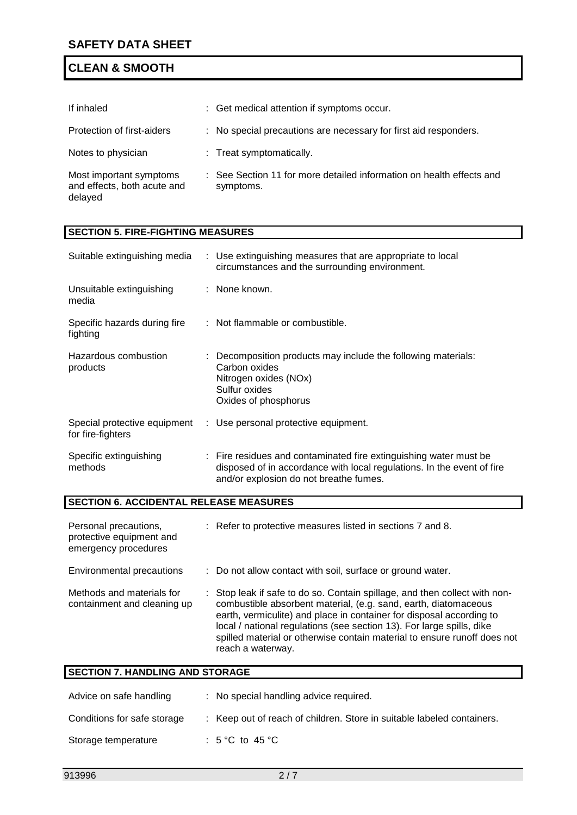| If inhaled                                                        | : Get medical attention if symptoms occur.                                        |
|-------------------------------------------------------------------|-----------------------------------------------------------------------------------|
| Protection of first-aiders                                        | : No special precautions are necessary for first aid responders.                  |
| Notes to physician                                                | : Treat symptomatically.                                                          |
| Most important symptoms<br>and effects, both acute and<br>delayed | : See Section 11 for more detailed information on health effects and<br>symptoms. |

## **SECTION 5. FIRE-FIGHTING MEASURES**

| Suitable extinguishing media                                              |  | : Use extinguishing measures that are appropriate to local<br>circumstances and the surrounding environment.                                                                          |  |
|---------------------------------------------------------------------------|--|---------------------------------------------------------------------------------------------------------------------------------------------------------------------------------------|--|
| Unsuitable extinguishing<br>media                                         |  | : None known.                                                                                                                                                                         |  |
| Specific hazards during fire<br>fighting                                  |  | : Not flammable or combustible.                                                                                                                                                       |  |
| Hazardous combustion<br>products                                          |  | Decomposition products may include the following materials:<br>Carbon oxides<br>Nitrogen oxides (NOx)<br>Sulfur oxides<br>Oxides of phosphorus                                        |  |
| Special protective equipment<br>for fire-fighters                         |  | : Use personal protective equipment.                                                                                                                                                  |  |
| Specific extinguishing<br>methods                                         |  | : Fire residues and contaminated fire extinguishing water must be<br>disposed of in accordance with local regulations. In the event of fire<br>and/or explosion do not breathe fumes. |  |
| <b>SECTION 6. ACCIDENTAL RELEASE MEASURES</b>                             |  |                                                                                                                                                                                       |  |
| Personal precautions,<br>protective equipment and<br>emergency procedures |  | : Refer to protective measures listed in sections 7 and 8.                                                                                                                            |  |
| Environmental precautions                                                 |  | Do not allow contact with soil, surface or ground water.                                                                                                                              |  |

| Methods and materials for<br>containment and cleaning up | : Stop leak if safe to do so. Contain spillage, and then collect with non-<br>combustible absorbent material, (e.g. sand, earth, diatomaceous<br>earth, vermiculite) and place in container for disposal according to<br>local / national regulations (see section 13). For large spills, dike<br>spilled material or otherwise contain material to ensure runoff does not |
|----------------------------------------------------------|----------------------------------------------------------------------------------------------------------------------------------------------------------------------------------------------------------------------------------------------------------------------------------------------------------------------------------------------------------------------------|
|                                                          | reach a waterway.                                                                                                                                                                                                                                                                                                                                                          |

| <b>SECTION 7. HANDLING AND STORAGE</b> |  |                                                                        |  |
|----------------------------------------|--|------------------------------------------------------------------------|--|
| Advice on safe handling                |  | : No special handling advice required.                                 |  |
| Conditions for safe storage            |  | : Keep out of reach of children. Store in suitable labeled containers. |  |
| Storage temperature                    |  | : 5 °C to 45 °C                                                        |  |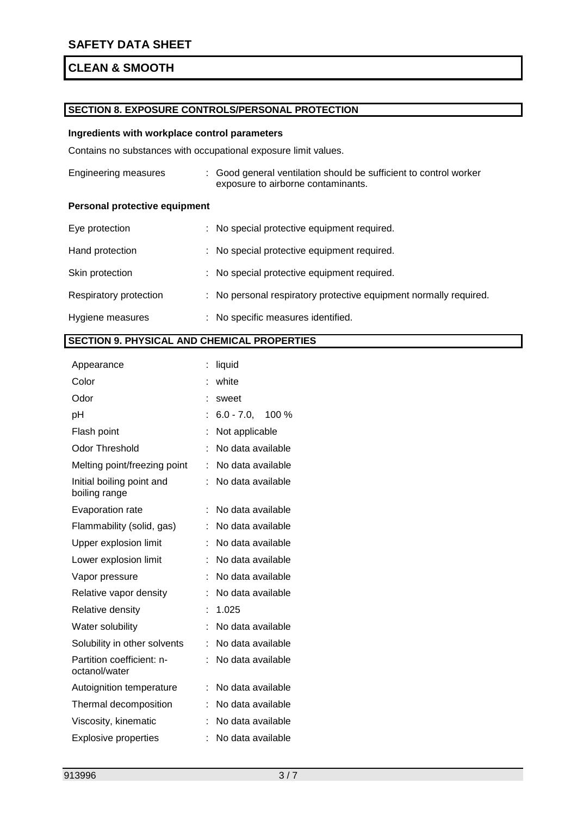### **SECTION 8. EXPOSURE CONTROLS/PERSONAL PROTECTION**

### **Ingredients with workplace control parameters**

Contains no substances with occupational exposure limit values.

| Engineering measures                 | : Good general ventilation should be sufficient to control worker<br>exposure to airborne contaminants. |
|--------------------------------------|---------------------------------------------------------------------------------------------------------|
| <b>Personal protective equipment</b> |                                                                                                         |
| Eye protection                       | : No special protective equipment required.                                                             |
| Hand protection                      | : No special protective equipment required.                                                             |
| Skin protection                      | : No special protective equipment required.                                                             |
| Respiratory protection               | : No personal respiratory protective equipment normally required.                                       |
| Hygiene measures                     | : No specific measures identified.                                                                      |

## **SECTION 9. PHYSICAL AND CHEMICAL PROPERTIES**

| liquid |                                        |
|--------|----------------------------------------|
| white  |                                        |
| sweet  |                                        |
|        |                                        |
|        |                                        |
|        | No data available                      |
| ÷      | No data available                      |
|        | No data available                      |
|        | No data available                      |
|        | No data available                      |
|        | No data available                      |
|        | No data available                      |
|        | No data available                      |
| ÷      | No data available                      |
| 1.025  |                                        |
|        | No data available                      |
|        | No data available                      |
|        | No data available                      |
|        | No data available                      |
|        | No data available                      |
|        | No data available                      |
|        | No data available                      |
|        | $: 6.0 - 7.0, 100\%$<br>Not applicable |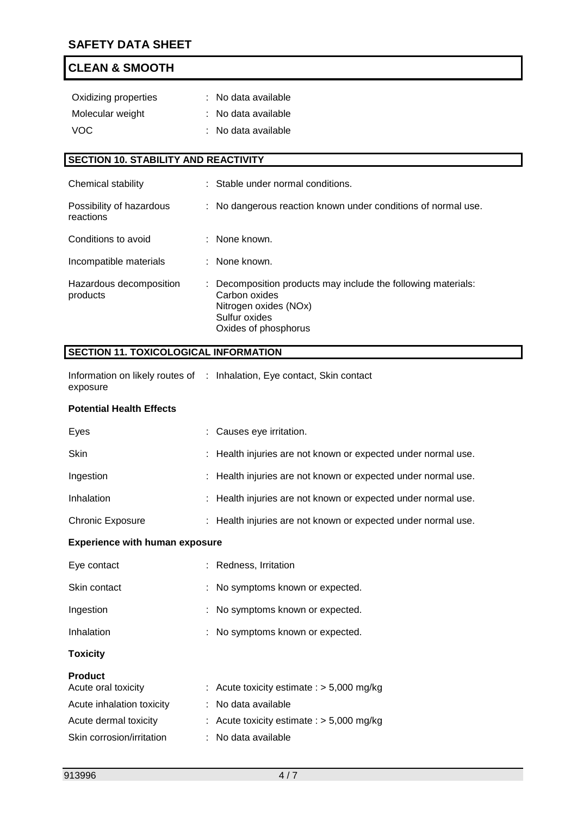| Oxidizing properties | : No data available |
|----------------------|---------------------|
| Molecular weight     | : No data available |
| VOC.                 | : No data available |

## **SECTION 10. STABILITY AND REACTIVITY**

| Chemical stability                    | : Stable under normal conditions.                                                                                                                |
|---------------------------------------|--------------------------------------------------------------------------------------------------------------------------------------------------|
| Possibility of hazardous<br>reactions | : No dangerous reaction known under conditions of normal use.                                                                                    |
| Conditions to avoid                   | : None known.                                                                                                                                    |
| Incompatible materials                | : None known.                                                                                                                                    |
| Hazardous decomposition<br>products   | : Decomposition products may include the following materials:<br>Carbon oxides<br>Nitrogen oxides (NOx)<br>Sulfur oxides<br>Oxides of phosphorus |

## **SECTION 11. TOXICOLOGICAL INFORMATION**

| Information on likely routes of : Inhalation, Eye contact, Skin contact |  |  |
|-------------------------------------------------------------------------|--|--|
| exposure                                                                |  |  |

### **Potential Health Effects**

| Eyes                                  | : Causes eye irritation.                                      |
|---------------------------------------|---------------------------------------------------------------|
| <b>Skin</b>                           | : Health injuries are not known or expected under normal use. |
| Ingestion                             | : Health injuries are not known or expected under normal use. |
| Inhalation                            | : Health injuries are not known or expected under normal use. |
| <b>Chronic Exposure</b>               | : Health injuries are not known or expected under normal use. |
| <b>Experience with human exposure</b> |                                                               |
| Eye contact                           | : Redness, Irritation                                         |
| Skin contact                          | : No symptoms known or expected.                              |
| Ingestion                             | No symptoms known or expected.                                |
| Inhalation                            | : No symptoms known or expected.                              |
| <b>Toxicity</b>                       |                                                               |
| <b>Product</b>                        |                                                               |
| Acute oral toxicity                   | : Acute toxicity estimate : $> 5,000$ mg/kg                   |
| Acute inhalation toxicity             | : No data available                                           |
| Acute dermal toxicity                 | Acute toxicity estimate : $>$ 5,000 mg/kg                     |
| Skin corrosion/irritation             | No data available                                             |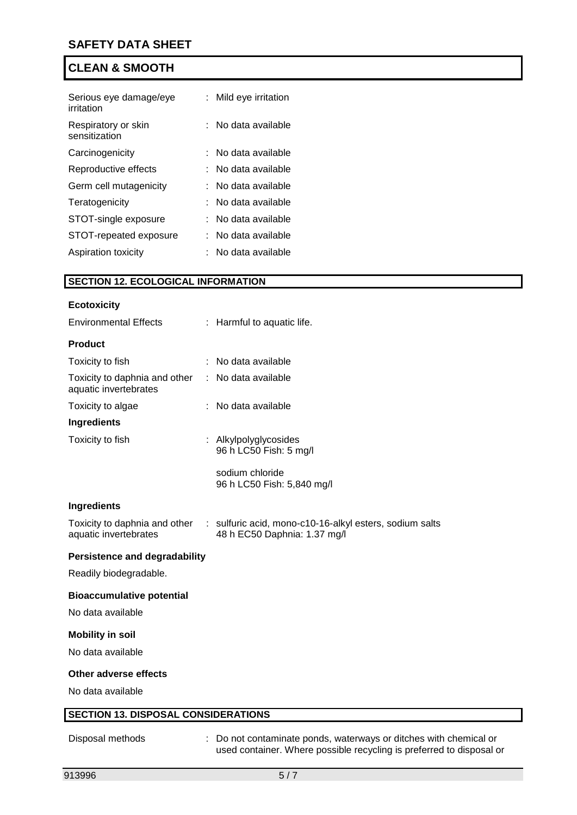| Serious eye damage/eye<br>irritation | Mild eye irritation |
|--------------------------------------|---------------------|
| Respiratory or skin<br>sensitization | No data available   |
| Carcinogenicity                      | No data available   |
| Reproductive effects                 | No data available   |
| Germ cell mutagenicity               | No data available   |
| Teratogenicity                       | No data available   |
| STOT-single exposure                 | No data available   |
| STOT-repeated exposure               | No data available   |
| Aspiration toxicity                  | No data available   |

# **SECTION 12. ECOLOGICAL INFORMATION**

|                                      | : Harmful to aquatic life.                                                              |
|--------------------------------------|-----------------------------------------------------------------------------------------|
|                                      |                                                                                         |
|                                      | No data available                                                                       |
| ÷.                                   | No data available                                                                       |
|                                      | No data available                                                                       |
|                                      |                                                                                         |
|                                      | : Alkylpolyglycosides<br>96 h LC50 Fish: 5 mg/l                                         |
|                                      | sodium chloride<br>96 h LC50 Fish: 5,840 mg/l                                           |
|                                      |                                                                                         |
|                                      | : sulfuric acid, mono-c10-16-alkyl esters, sodium salts<br>48 h EC50 Daphnia: 1.37 mg/l |
| <b>Persistence and degradability</b> |                                                                                         |
|                                      |                                                                                         |
|                                      |                                                                                         |
|                                      |                                                                                         |
|                                      |                                                                                         |
|                                      |                                                                                         |
|                                      |                                                                                         |
|                                      |                                                                                         |
|                                      | <b>SECTION 13. DISPOSAL CONSIDERATIONS</b>                                              |
|                                      |                                                                                         |

Disposal methods : Do not contaminate ponds, waterways or ditches with chemical or used container. Where possible recycling is preferred to disposal or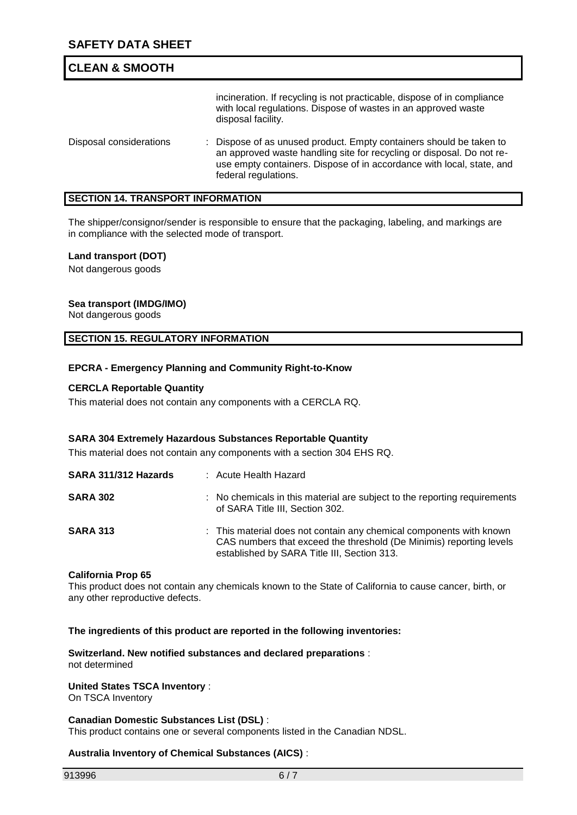incineration. If recycling is not practicable, dispose of in compliance with local regulations. Dispose of wastes in an approved waste disposal facility. Disposal considerations : Dispose of as unused product. Empty containers should be taken to an approved waste handling site for recycling or disposal. Do not reuse empty containers. Dispose of in accordance with local, state, and federal regulations.

### **SECTION 14. TRANSPORT INFORMATION**

The shipper/consignor/sender is responsible to ensure that the packaging, labeling, and markings are in compliance with the selected mode of transport.

### **Land transport (DOT)**

Not dangerous goods

### **Sea transport (IMDG/IMO)**

Not dangerous goods

### **SECTION 15. REGULATORY INFORMATION**

### **EPCRA - Emergency Planning and Community Right-to-Know**

### **CERCLA Reportable Quantity**

This material does not contain any components with a CERCLA RQ.

### **SARA 304 Extremely Hazardous Substances Reportable Quantity**

This material does not contain any components with a section 304 EHS RQ.

| SARA 311/312 Hazards | : Acute Health Hazard                                                                                                                                                                     |
|----------------------|-------------------------------------------------------------------------------------------------------------------------------------------------------------------------------------------|
| <b>SARA 302</b>      | : No chemicals in this material are subject to the reporting requirements<br>of SARA Title III, Section 302.                                                                              |
| <b>SARA 313</b>      | : This material does not contain any chemical components with known<br>CAS numbers that exceed the threshold (De Minimis) reporting levels<br>established by SARA Title III, Section 313. |

#### **California Prop 65**

This product does not contain any chemicals known to the State of California to cause cancer, birth, or any other reproductive defects.

#### **The ingredients of this product are reported in the following inventories:**

**Switzerland. New notified substances and declared preparations** : not determined

#### **United States TSCA Inventory** :

On TSCA Inventory

#### **Canadian Domestic Substances List (DSL)** :

This product contains one or several components listed in the Canadian NDSL.

#### **Australia Inventory of Chemical Substances (AICS)** :